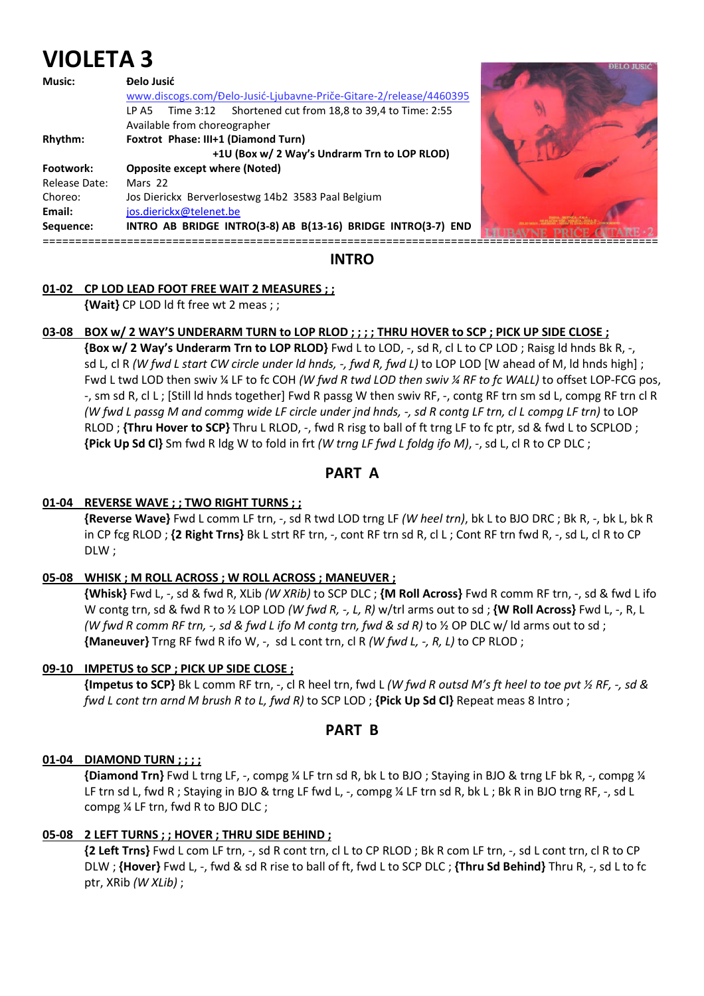# **VIOLETA 3**

| <b>Music:</b> | Đelo Jusić<br>www.discogs.com/Đelo-Jusić-Ljubavne-Priče-Gitare-2/release/4460395<br>Time 3:12 Shortened cut from 18,8 to 39,4 to Time: 2:55<br>LP A5<br>Available from choreographer |  |
|---------------|--------------------------------------------------------------------------------------------------------------------------------------------------------------------------------------|--|
| Rhythm:       | Foxtrot Phase: III+1 (Diamond Turn)<br>+1U (Box w/ 2 Way's Undrarm Trn to LOP RLOD)                                                                                                  |  |
| Footwork:     | <b>Opposite except where (Noted)</b>                                                                                                                                                 |  |
| Release Date: | Mars 22                                                                                                                                                                              |  |
| Choreo:       | Jos Dierickx Berverlosestwg 14b2 3583 Paal Belgium                                                                                                                                   |  |
| Email:        | jos.dierickx@telenet.be                                                                                                                                                              |  |
| Sequence:     | INTRO AB BRIDGE INTRO(3-8) AB B(13-16) BRIDGE INTRO(3-7) END                                                                                                                         |  |

# **INTRO**

## **01-02 CP LOD LEAD FOOT FREE WAIT 2 MEASURES ; ;**

 **{Wait}** CP LOD ld ft free wt 2 meas ; ;

#### **03-08 BOX w/ 2 WAY'S UNDERARM TURN to LOP RLOD ; ; ; ; THRU HOVER to SCP ; PICK UP SIDE CLOSE ;**

 **{Box w/ 2 Way's Underarm Trn to LOP RLOD}** Fwd L to LOD, -, sd R, cl L to CP LOD ; Raisg ld hnds Bk R, -, sd L, cl R *(W fwd L start CW circle under ld hnds, -, fwd R, fwd L)* to LOP LOD [W ahead of M, ld hnds high] ; Fwd L twd LOD then swiv ¼ LF to fc COH *(W fwd R twd LOD then swiv ¼ RF to fc WALL)* to offset LOP-FCG pos, -, sm sd R, cl L ; [Still ld hnds together] Fwd R passg W then swiv RF, -, contg RF trn sm sd L, compg RF trn cl R *(W fwd L passg M and commg wide LF circle under jnd hnds, -, sd R contg LF trn, cl L compg LF trn)* to LOP RLOD ; **{Thru Hover to SCP}** Thru L RLOD, -, fwd R risg to ball of ft trng LF to fc ptr, sd & fwd L to SCPLOD ; **{Pick Up Sd Cl}** Sm fwd R ldg W to fold in frt *(W trng LF fwd L foldg ifo M)*, -, sd L, cl R to CP DLC ;

# **PART A**

#### **01-04 REVERSE WAVE ; ; TWO RIGHT TURNS ; ;**

 **{Reverse Wave}** Fwd L comm LF trn, -, sd R twd LOD trng LF *(W heel trn)*, bk L to BJO DRC ; Bk R, -, bk L, bk R in CP fcg RLOD ; **{2 Right Trns}** Bk L strt RF trn, -, cont RF trn sd R, cl L ; Cont RF trn fwd R, -, sd L, cl R to CP DLW ;

#### **05-08 WHISK ; M ROLL ACROSS ; W ROLL ACROSS ; MANEUVER ;**

 **{Whisk}** Fwd L, -, sd & fwd R, XLib *(W XRib)* to SCP DLC ; **{M Roll Across}** Fwd R comm RF trn, -, sd & fwd L ifo W contg trn, sd & fwd R to ½ LOP LOD *(W fwd R, -, L, R)* w/trl arms out to sd ; **{W Roll Across}** Fwd L, -, R, L *(W fwd R comm RF trn, -, sd & fwd L ifo M contg trn, fwd & sd R)* to ½ OP DLC w/ ld arms out to sd; **{Maneuver}** Trng RF fwd R ifo W, -, sd L cont trn, cl R *(W fwd L, -, R, L)* to CP RLOD ;

#### **09-10 IMPETUS to SCP ; PICK UP SIDE CLOSE ;**

 **{Impetus to SCP}** Bk L comm RF trn, -, cl R heel trn, fwd L *(W fwd R outsd M's ft heel to toe pvt ½ RF, -, sd & fwd L cont trn arnd M brush R to L, fwd R)* to SCP LOD ; **{Pick Up Sd Cl}** Repeat meas 8 Intro ;

# **PART B**

#### **01-04 DIAMOND TURN ; ; ; ;**

 **{Diamond Trn}** Fwd L trng LF, -, compg ¼ LF trn sd R, bk L to BJO ; Staying in BJO & trng LF bk R, -, compg ¼ LF trn sd L, fwd R; Staying in BJO & trng LF fwd L, -, compg ¼ LF trn sd R, bk L; Bk R in BJO trng RF, -, sd L compg ¼ LF trn, fwd R to BJO DLC ;

## **05-08 2 LEFT TURNS ; ; HOVER ; THRU SIDE BEHIND ;**

 **{2 Left Trns}** Fwd L com LF trn, -, sd R cont trn, cl L to CP RLOD ; Bk R com LF trn, -, sd L cont trn, cl R to CP DLW ; **{Hover}** Fwd L, -, fwd & sd R rise to ball of ft, fwd L to SCP DLC ; **{Thru Sd Behind}** Thru R, -, sd L to fc ptr, XRib *(W XLib)* ;